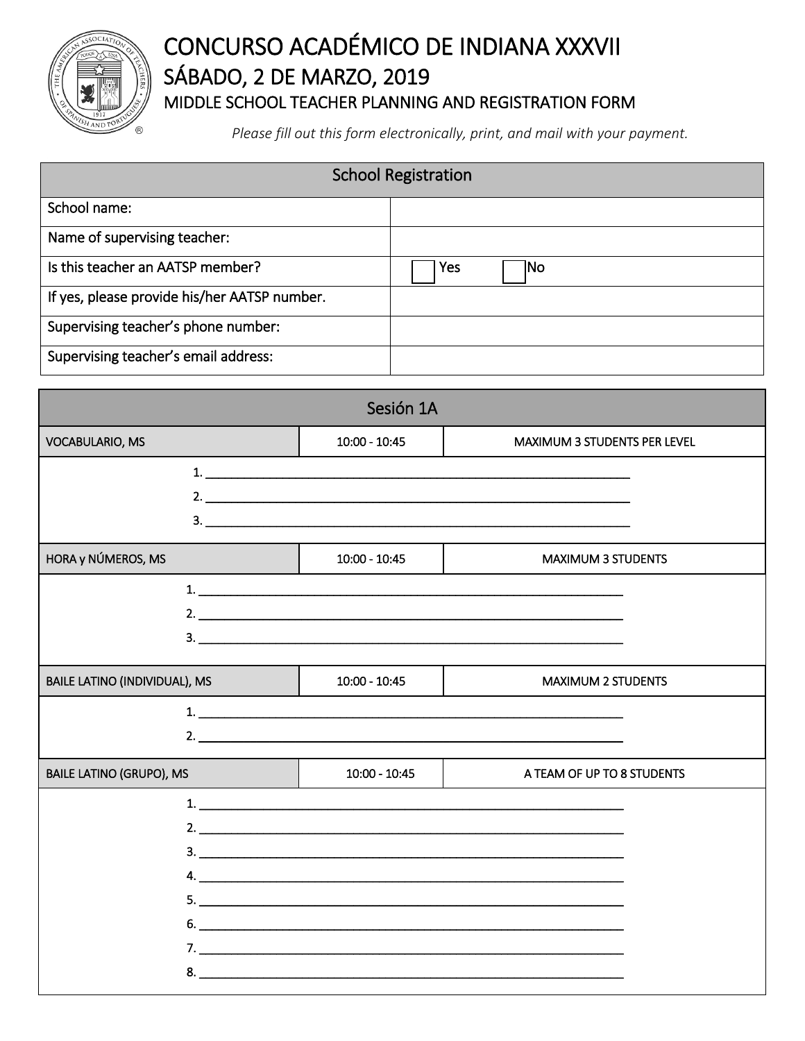

## CONCURSO ACADÉMICO DE INDIANA XXXVII SÁBADO, 2 DE MARZO, 2019 MIDDLE SCHOOL TEACHER PLANNING AND REGISTRATION FORM

*Please fill out this form electronically, print, and mail with your payment.*

| <b>School Registration</b>                   |     |     |
|----------------------------------------------|-----|-----|
| School name:                                 |     |     |
| Name of supervising teacher:                 |     |     |
| Is this teacher an AATSP member?             | Yes | INo |
| If yes, please provide his/her AATSP number. |     |     |
| Supervising teacher's phone number:          |     |     |
| Supervising teacher's email address:         |     |     |

| Sesión 1A                       |                 |                                     |
|---------------------------------|-----------------|-------------------------------------|
| <b>VOCABULARIO, MS</b>          | $10:00 - 10:45$ | <b>MAXIMUM 3 STUDENTS PER LEVEL</b> |
|                                 |                 |                                     |
| HORA y NÚMEROS, MS              | $10:00 - 10:45$ | <b>MAXIMUM 3 STUDENTS</b>           |
|                                 |                 |                                     |
| BAILE LATINO (INDIVIDUAL), MS   | $10:00 - 10:45$ | <b>MAXIMUM 2 STUDENTS</b>           |
|                                 |                 |                                     |
| <b>BAILE LATINO (GRUPO), MS</b> | $10:00 - 10:45$ | A TEAM OF UP TO 8 STUDENTS          |
|                                 | 5.              |                                     |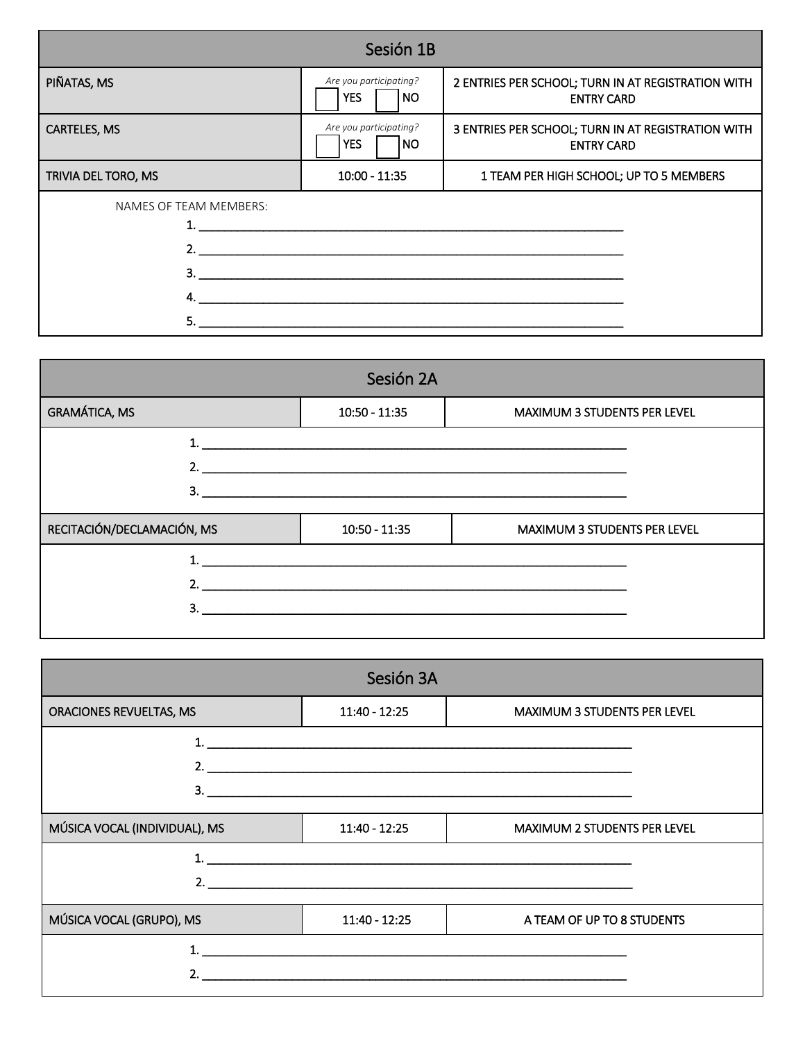| Sesión 1B              |                                                          |                                                                         |  |
|------------------------|----------------------------------------------------------|-------------------------------------------------------------------------|--|
| PIÑATAS, MS            | Are you participating?<br><b>YES</b><br>  NO             | 2 ENTRIES PER SCHOOL; TURN IN AT REGISTRATION WITH<br><b>ENTRY CARD</b> |  |
| <b>CARTELES, MS</b>    | Are you participating?<br><b>YES</b><br> NO              | 3 ENTRIES PER SCHOOL; TURN IN AT REGISTRATION WITH<br><b>ENTRY CARD</b> |  |
| TRIVIA DEL TORO, MS    | $10:00 - 11:35$                                          | 1 TEAM PER HIGH SCHOOL; UP TO 5 MEMBERS                                 |  |
| NAMES OF TEAM MEMBERS: | 2. $\overline{\phantom{a}}$<br>$\overline{\mathbf{3}}$ . |                                                                         |  |

| Sesión 2A                  |                 |                                                                                                                                                                                                                                                                                                                        |
|----------------------------|-----------------|------------------------------------------------------------------------------------------------------------------------------------------------------------------------------------------------------------------------------------------------------------------------------------------------------------------------|
| <b>GRAMÁTICA, MS</b>       | $10:50 - 11:35$ | <b>MAXIMUM 3 STUDENTS PER LEVEL</b>                                                                                                                                                                                                                                                                                    |
|                            |                 |                                                                                                                                                                                                                                                                                                                        |
|                            |                 | 2. $\frac{1}{2}$ $\frac{1}{2}$ $\frac{1}{2}$ $\frac{1}{2}$ $\frac{1}{2}$ $\frac{1}{2}$ $\frac{1}{2}$ $\frac{1}{2}$ $\frac{1}{2}$ $\frac{1}{2}$ $\frac{1}{2}$ $\frac{1}{2}$ $\frac{1}{2}$ $\frac{1}{2}$ $\frac{1}{2}$ $\frac{1}{2}$ $\frac{1}{2}$ $\frac{1}{2}$ $\frac{1}{2}$ $\frac{1}{2}$ $\frac{1}{2}$ $\frac{1}{2}$ |
|                            |                 | $\overline{\mathbf{3.}}$                                                                                                                                                                                                                                                                                               |
| RECITACIÓN/DECLAMACIÓN, MS | $10:50 - 11:35$ | <b>MAXIMUM 3 STUDENTS PER LEVEL</b>                                                                                                                                                                                                                                                                                    |
|                            |                 |                                                                                                                                                                                                                                                                                                                        |
|                            |                 |                                                                                                                                                                                                                                                                                                                        |
|                            |                 |                                                                                                                                                                                                                                                                                                                        |
|                            |                 |                                                                                                                                                                                                                                                                                                                        |

| Sesión 3A                     |                                                                                                                  |                                     |
|-------------------------------|------------------------------------------------------------------------------------------------------------------|-------------------------------------|
| ORACIONES REVUELTAS, MS       | 11:40 - 12:25                                                                                                    | <b>MAXIMUM 3 STUDENTS PER LEVEL</b> |
|                               | and the control of the control of the control of the control of the control of the control of the control of the |                                     |
|                               | 2. $\overline{\phantom{a}}$                                                                                      |                                     |
| 3.                            |                                                                                                                  |                                     |
| MÚSICA VOCAL (INDIVIDUAL), MS | $11:40 - 12:25$                                                                                                  | <b>MAXIMUM 2 STUDENTS PER LEVEL</b> |
|                               |                                                                                                                  |                                     |
|                               | 2. $\overline{\phantom{a}}$                                                                                      |                                     |
| MÚSICA VOCAL (GRUPO), MS      | $11:40 - 12:25$                                                                                                  | A TEAM OF UP TO 8 STUDENTS          |
|                               |                                                                                                                  |                                     |
|                               |                                                                                                                  |                                     |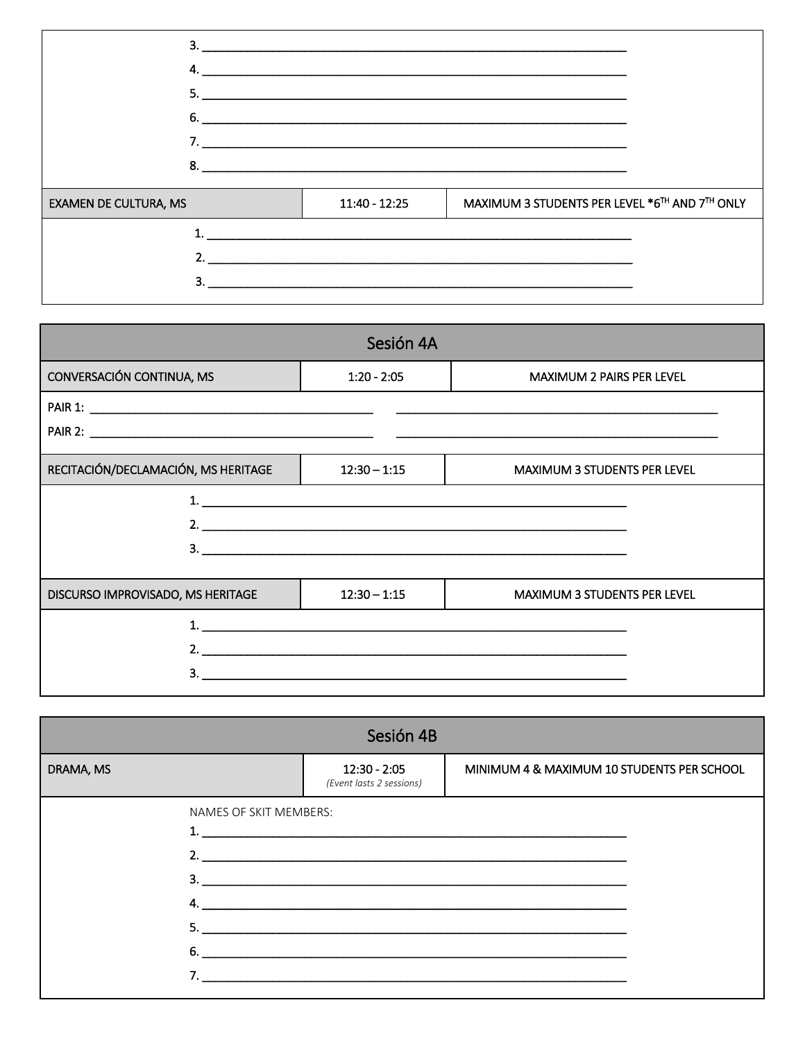|                              |               | $\overline{\mathbf{3.}}$                       |
|------------------------------|---------------|------------------------------------------------|
|                              |               | $\overline{6.}$                                |
|                              |               | 8. $\qquad \qquad$                             |
| <b>EXAMEN DE CULTURA, MS</b> | 11:40 - 12:25 | MAXIMUM 3 STUDENTS PER LEVEL *6TH AND 7TH ONLY |
|                              |               |                                                |
|                              |               |                                                |
| 3.                           |               |                                                |

|                                     | Sesión 4A      |                                     |
|-------------------------------------|----------------|-------------------------------------|
| CONVERSACIÓN CONTINUA, MS           | $1:20 - 2:05$  | <b>MAXIMUM 2 PAIRS PER LEVEL</b>    |
|                                     |                |                                     |
|                                     |                |                                     |
| RECITACIÓN/DECLAMACIÓN, MS HERITAGE | $12:30 - 1:15$ | <b>MAXIMUM 3 STUDENTS PER LEVEL</b> |
|                                     |                | 1. $\overline{\phantom{a}}$         |
|                                     | 2.             |                                     |
|                                     |                |                                     |
| DISCURSO IMPROVISADO, MS HERITAGE   | $12:30 - 1:15$ | <b>MAXIMUM 3 STUDENTS PER LEVEL</b> |
|                                     |                |                                     |
|                                     | 2.             |                                     |
|                                     |                |                                     |

| Sesión 4B |                        |                                            |                                                    |  |
|-----------|------------------------|--------------------------------------------|----------------------------------------------------|--|
| DRAMA, MS |                        | $12:30 - 2:05$<br>(Event lasts 2 sessions) | MINIMUM 4 & MAXIMUM 10 STUDENTS PER SCHOOL         |  |
|           | NAMES OF SKIT MEMBERS: | $6.$ $\overline{\phantom{a}}$              | 2. $\overline{\phantom{a}}$<br>3.<br>$\mathsf{4.}$ |  |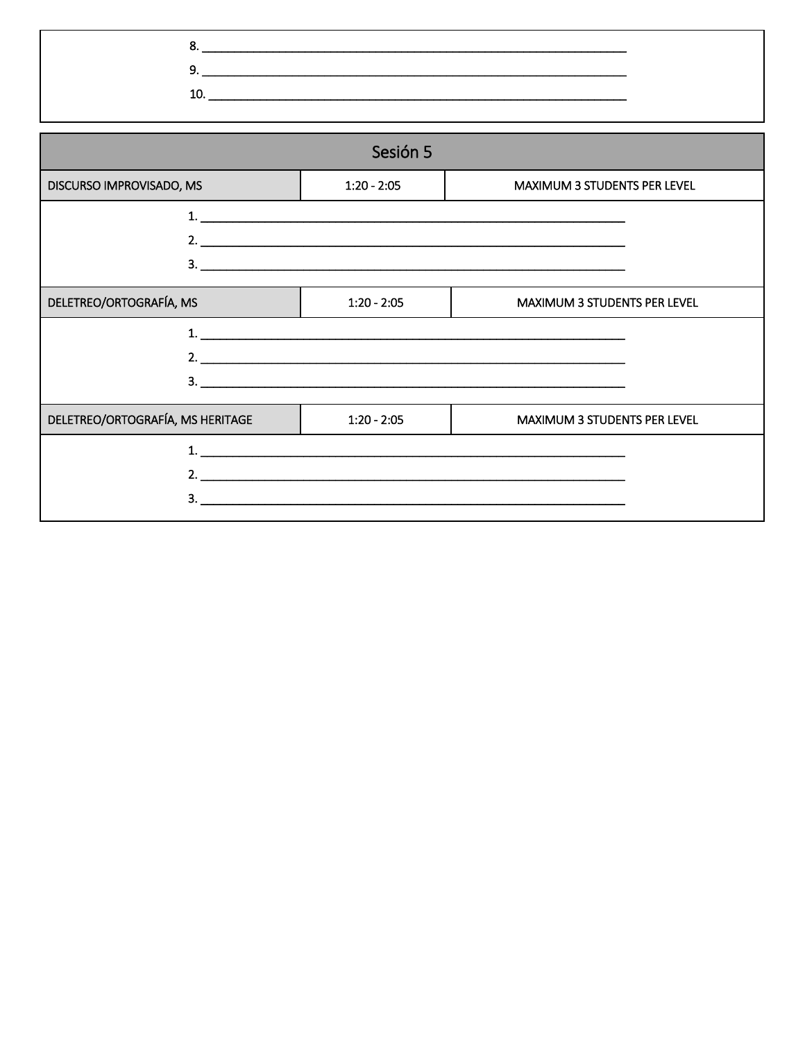$8.$  $\begin{array}{c} \n \text{10.} \quad \text{---} \quad \text{---} \quad \text{---} \quad \text{---} \quad \text{---} \quad \text{---} \quad \text{---} \quad \text{---} \quad \text{---} \quad \text{---} \quad \text{---} \quad \text{---} \quad \text{---} \quad \text{---} \quad \text{---} \quad \text{---} \quad \text{---} \quad \text{---} \quad \text{---} \quad \text{---} \quad \text{---} \quad \text{---} \quad \text{---} \quad \text{---} \quad \text{---} \quad \text{---} \quad \text{---} \quad \text{---} \quad \text{---} \$ 

| Sesión 5                         |               |                                     |  |
|----------------------------------|---------------|-------------------------------------|--|
| DISCURSO IMPROVISADO, MS         | $1:20 - 2:05$ | <b>MAXIMUM 3 STUDENTS PER LEVEL</b> |  |
|                                  |               |                                     |  |
|                                  |               |                                     |  |
|                                  |               | $3.$ $\overline{\phantom{a}}$       |  |
| DELETREO/ORTOGRAFÍA, MS          | $1:20 - 2:05$ | <b>MAXIMUM 3 STUDENTS PER LEVEL</b> |  |
|                                  |               |                                     |  |
|                                  |               | 2. $\overline{\phantom{a}}$         |  |
|                                  |               |                                     |  |
| DELETREO/ORTOGRAFÍA, MS HERITAGE | $1:20 - 2:05$ | MAXIMUM 3 STUDENTS PER LEVEL        |  |
|                                  |               |                                     |  |
|                                  |               |                                     |  |
|                                  |               |                                     |  |
|                                  |               |                                     |  |